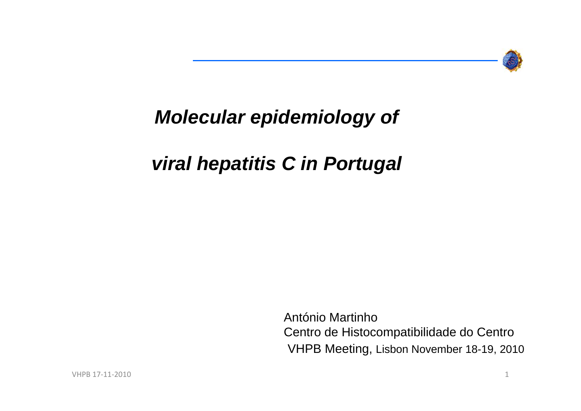

## *Molecular epidemiology of*

## *viral hepatitis C in Portugal*

VHPB Meeting, Lisbon November 18-19, 2010 António MartinhoCentro de Histocompatibilidade do Centro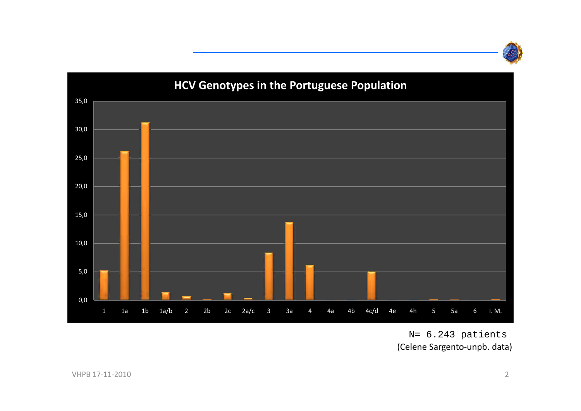



#### N= 6.243 patients (Celene Sargento‐unpb. data)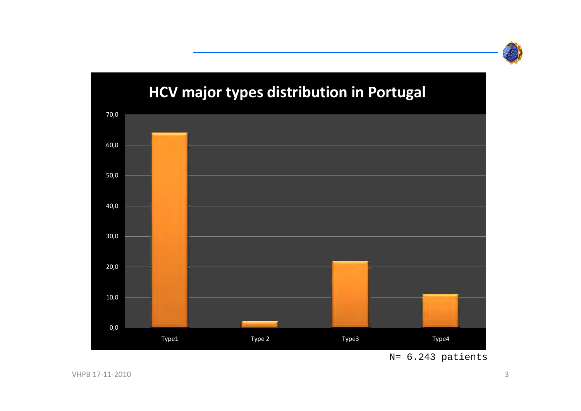

## 0,0 10,0 20,0 30,0 40,0 50,0 60,0 70,0 Type1 Type 2 Type3 Type4 **HCV major types distribution in Portugal**

#### N= 6.243 patients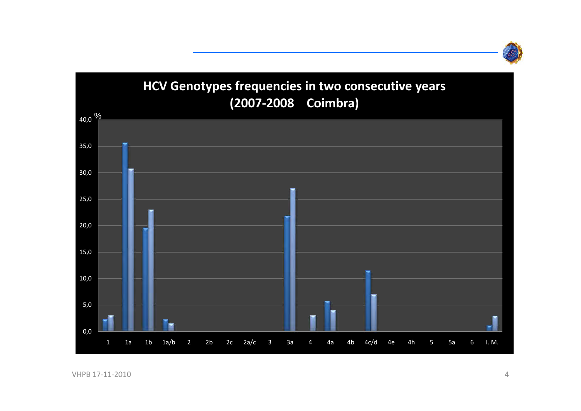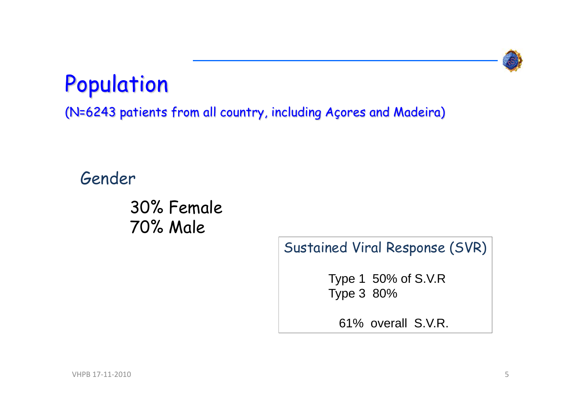

## Population

(N=6243 patients from all country, including Açores and Madeira)

### Gender

30% Female 70% Male

Sustained Viral Response (SVR)

Type 1 50% of S.V.R Type 3 80%

61% overall S.V.R.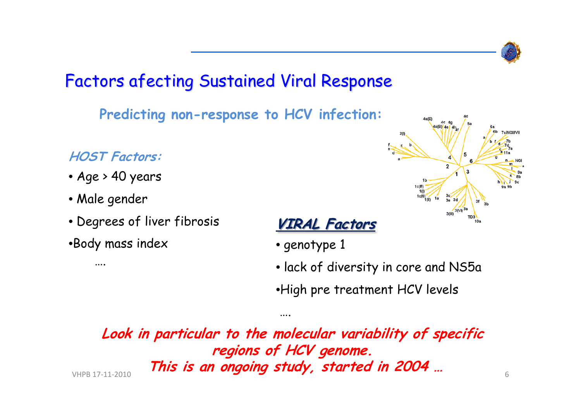

### Factors afecting Sustained Viral Response

**Predicting non-response to HCV infection:**

#### **HOST Factors:**

- Age > 40 years
- Male gender

….

- Degrees of liver fibrosis
- •Body mass index





- genotype 1
- lack of diversity in core and NS5a
- •High pre treatment HCV levels

**Look in particular to the molecular variability of specific regions of HCV genome. This is an ongoing study, started in 2004 …** 17‐11‐2010 6

….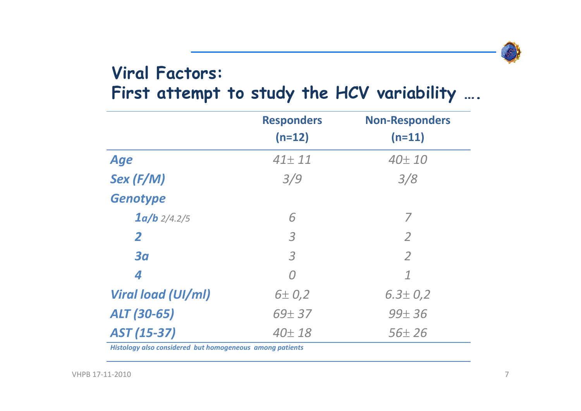

### **Viral Factors: First attempt to study the HCV variability ….**

|                    | <b>Responders</b><br>$(n=12)$ | <b>Non-Responders</b><br>$(n=11)$ |
|--------------------|-------------------------------|-----------------------------------|
| <b>Age</b>         | $41 \pm 11$                   | $40\pm10$                         |
| $Sex$ (F/M)        | 3/9                           | 3/8                               |
| <b>Genotype</b>    |                               |                                   |
| $1a/b$ 2/4.2/5     | 6                             | 7                                 |
| $\overline{2}$     | $\overline{3}$                | $\overline{2}$                    |
| 3 <sub>a</sub>     | $\overline{3}$                | $\overline{2}$                    |
| 4                  | $\Omega$                      | $\mathcal I$                      |
| Viral load (UI/ml) | 6 ± 0.2                       | $6.3 \pm 0.2$                     |
| ALT (30-65)        | $69 + 37$                     | $99 + 36$                         |
| AST (15-37)        | $40\pm18$                     | $56 \pm 26$                       |

*Histology also considered but homogeneous among patients*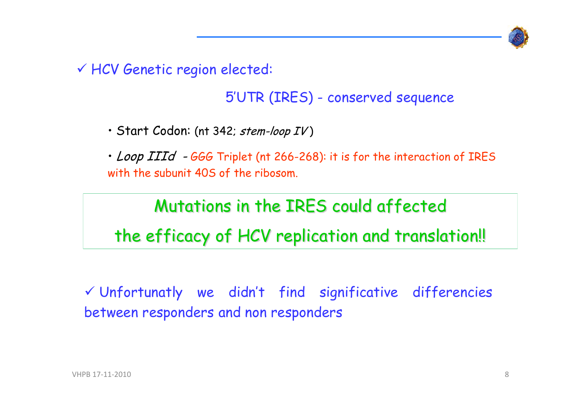

9 HCV Genetic region elected:

#### 5'UTR (IRES) - conserved sequence

• Start Codon: (nt 342*; stem-loop IV* )

• *Loop IIId*  $-$  *666* Triplet (nt 266-268): it is for the interaction of IRES with the subunit 40S of the ribosom.

## Mutations in the IRES could affected the efficacy of HCV replication and translation!!

 $\checkmark$  Unfortunatly we didn't find significative differencies between responders and non responders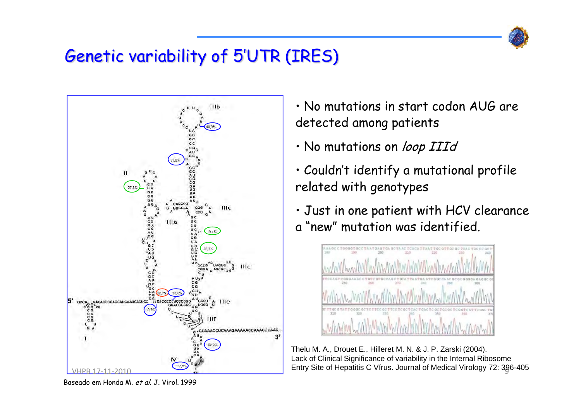

## Genetic variability of 5'UTR (IRES)



• No mutations in start codon AUG are detected among patients

- No mutations on *loop IIId*
- Couldn't identify a mutational profile related with genotypes
- Just in one patient with HCV clearance <sup>a</sup>"new" mutation was identified.



Thelu M. A., Drouet E., Hilleret M. N. & J. P. Zarski (2004). Lack of Clinical Significance of variability in the Internal Ribosome

Baseado em Honda M. et al. J. Virol. 1999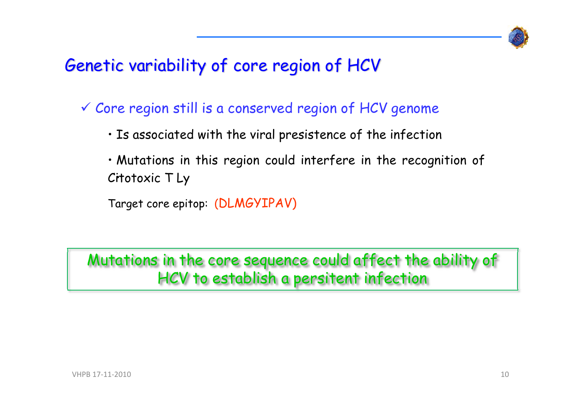

### Genetic variability of core region of HCV

 $\checkmark$  Core region still is a conserved region of HCV genome

- Is associated with the viral presistence of the infection
- Mutations in this region could interfere in the recognition of Citotoxic T Ly •

Target core epitop: (DLMGYIPAV)

Mutations in the core sequence could affect the ability of HCV to establish a persitent infection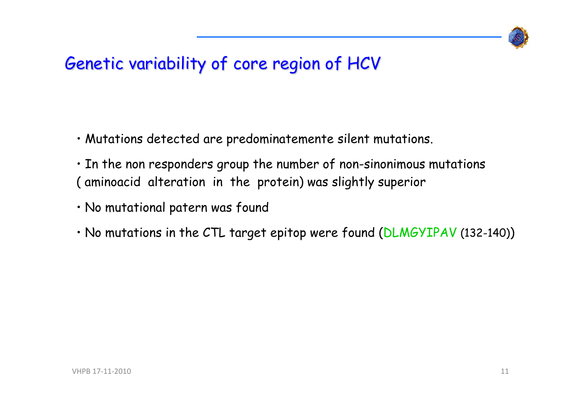

## Genetic variability of core region of HCV

- Mutations detected are predominatemente silent mutations.
- In the non responders group the number of non-sinonimous mutations ( aminoacid alteration in the protein) was slightly superior
- No mutational patern was found
- $\cdot$  No mutations in the CTL target epitop were found (DLMGYIPAV (132-140))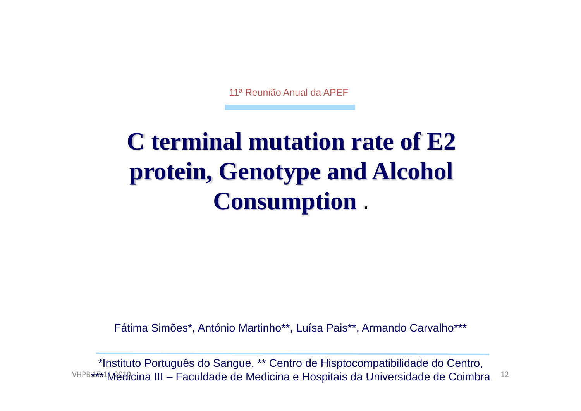11ª Reunião Anual da APEF

## **C terminal mutation rate of E2 protein, Genotype and Alcohol Consumption** .

Fátima Simões\*, António Martinho\*\*, Luísa Pais\*\*, Armando Carvalho\*\*\*

\*Instituto Português do Sangue, \*\* Centro de Hisptocompatibilidade do Centro, VHPB  $4\sqrt{r}$ 1Medicina III – Faculdade de Medicina e Hospitais da Universidade de Coimbra  $12$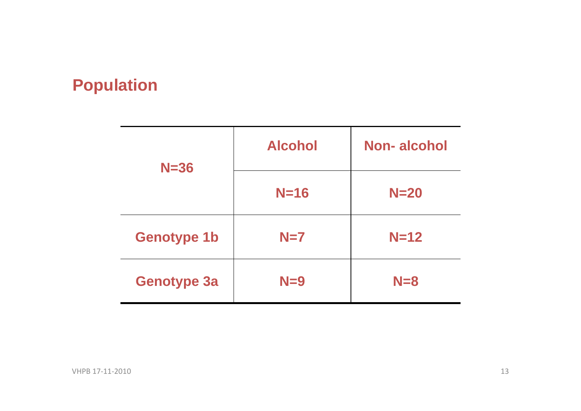### **Population**

| $N = 36$           | <b>Alcohol</b> | Non-alcohol |  |
|--------------------|----------------|-------------|--|
|                    | $N=16$         | $N=20$      |  |
| <b>Genotype 1b</b> | $N=7$          | $N=12$      |  |
| <b>Genotype 3a</b> | $N=9$          | $N = 8$     |  |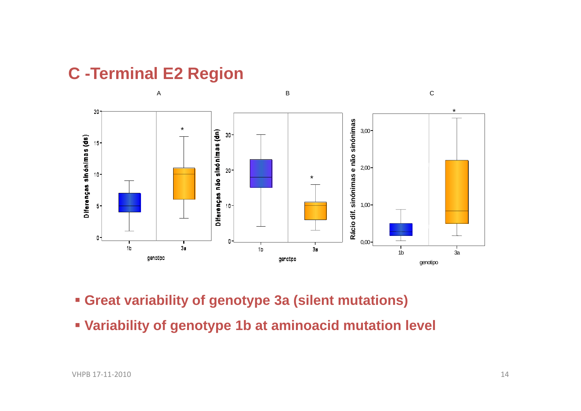### **C -Terminal E2 Region**



- **Great variability of genotype 3a (silent mutations)**
- **Variability of genotype 1b at aminoacid mutation level**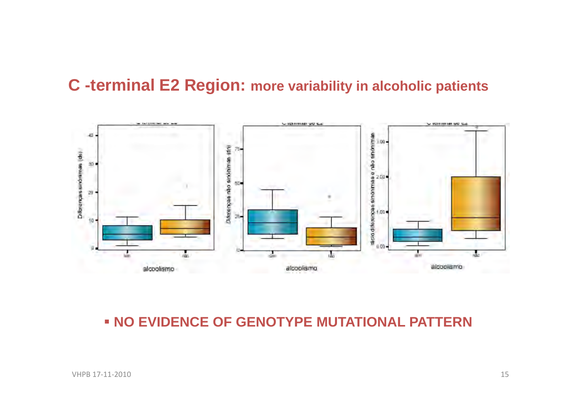#### **C -terminal E2 Region: more variability in alcoholic patients**



#### **NO EVIDENCE OF GENOTYPE MUTATIONAL PATTERN**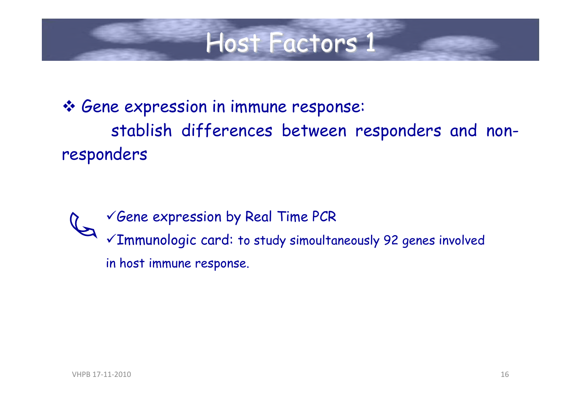## Host Factors 1

 Gene expression in immune response: stablish differences between responders and nonresponders

 $\checkmark$  Gene expression by Real Time PCR <sup>9</sup>Immunologic card: to study simoultaneously 92 genes involved in host immune response.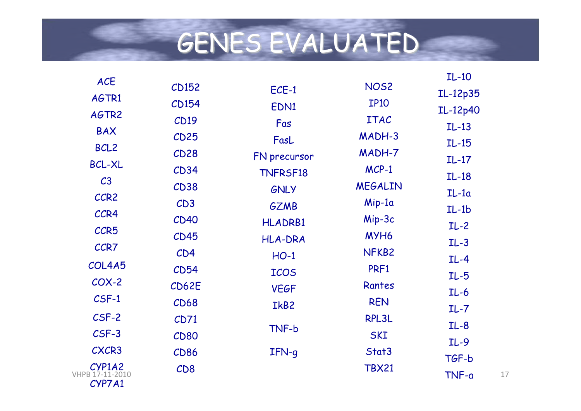# GENES EVALUATED

| <b>ACE</b>                  |             |                 |                   | $IL-10$  |    |
|-----------------------------|-------------|-----------------|-------------------|----------|----|
| AGTR1                       | CD152       | ECE-1           | <b>NOS2</b>       | IL-12p35 |    |
|                             | CD154       | EDN1            | <b>IP10</b>       | IL-12p40 |    |
| AGTR2                       | CD19        | Fas             | <b>ITAC</b>       | $IL-13$  |    |
| <b>BAX</b>                  | CD25        | FasL            | MADH-3            | $IL-15$  |    |
| BCL <sub>2</sub>            | CD28        | FN precursor    | MADH-7            |          |    |
| <b>BCL-XL</b>               | CD34        | <b>TNFRSF18</b> | $MCP-1$           | $IL-17$  |    |
| C <sub>3</sub>              | CD38        | GNLY            | <b>MEGALIN</b>    | $IL-18$  |    |
| CCR2                        | CD3         | <b>GZMB</b>     | Mip-1a            | $IL-1a$  |    |
| CCR4                        | CD40        |                 | Mip-3c            | $IL-1b$  |    |
| CCR5                        | CD45        | <b>HLADRB1</b>  | MYH6              | $IL-2$   |    |
| CCR7                        |             | <b>HLA-DRA</b>  |                   | $IL-3$   |    |
| COL4A5                      | CD4         | $HO-1$          | NFKB <sub>2</sub> | $IL-4$   |    |
|                             | CD54        | <b>ICOS</b>     | PRF1              | $IL-5$   |    |
| $COX-2$                     | CD62E       | <b>VEGF</b>     | Rantes            | $IL-6$   |    |
| $C$ SF-1                    | CD68        | IkB2            | <b>REN</b>        | $IL - 7$ |    |
| CSF-2                       | CD71        |                 | RPL3L             | $IL-8$   |    |
| $CSF-3$                     | <b>CD80</b> | TNF-b           | <b>SKI</b>        | $IL-9$   |    |
| CXCR3                       | CD86        | $IFN-q$         | Stat3             |          |    |
| $CYP1A2$<br>VHPB 17-11-2010 | CD8         |                 | <b>TBX21</b>      | TGF-b    |    |
| CYP7A1                      |             |                 |                   | TNF-a    | 17 |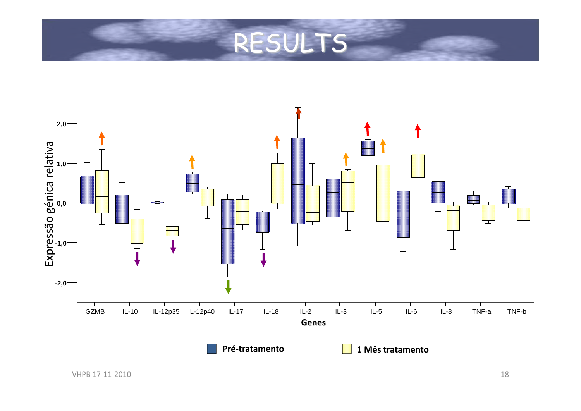## RESULTS

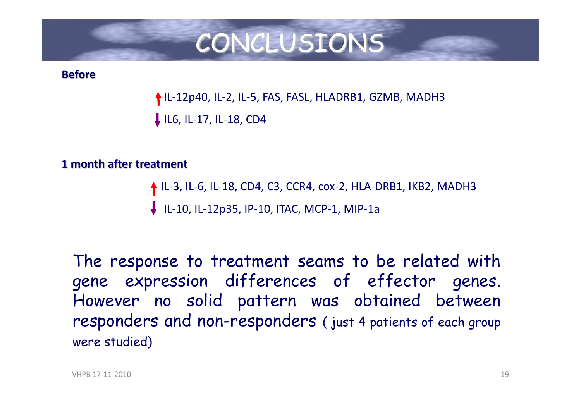## CONCLUSIONS

#### **Before**

↑IL-12p40, IL-2, IL-5, FAS, FASL, HLADRB1, GZMB, MADH3 ↓ IL6, IL-17, IL-18, CD4

#### **1 month after treatment**

↑ IL-3, IL-6, IL-18, CD4, C3, CCR4, cox-2, HLA-DRB1, IKB2, MADH3

IL‐10, IL‐12p35, IP‐10, ITAC, MCP‐1, MIP‐1a

The response to treatment seams to be related with gene expression differences of effector genes. However no solid pattern was obtained between responders and non-responders ( just <sup>4</sup> patients of each group were studied)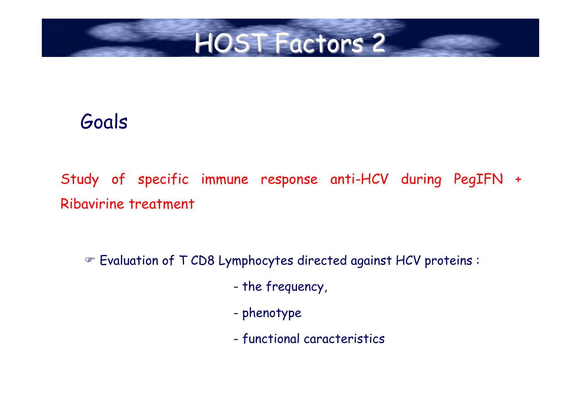## HOST Factors 2

## Goals

Study of specific immune response anti-HCV during PegIFN <sup>+</sup> Ribavirine treatment

 $\textcolor{black}{\bullet}$  Evaluation of T CD8 Lymphocytes directed against HCV proteins :

- the frequency,
- phenotype
- functional caracteristics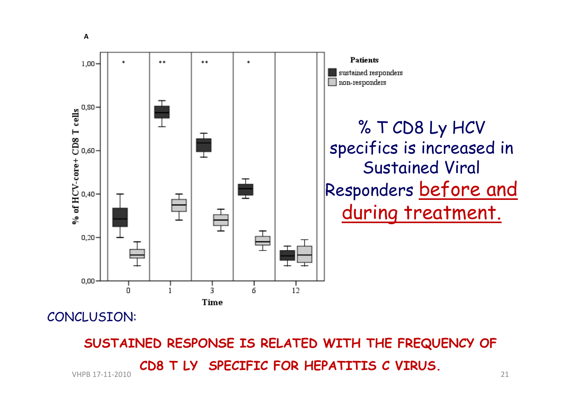

#### CONCLUSION:

**SUSTAINED RESPONSE IS RELATED WITH THE FREQUENCY OF CD8 T LY SPECIFIC FOR HEPATITIS C VIRUS.** VHPB 17‐11‐2010 21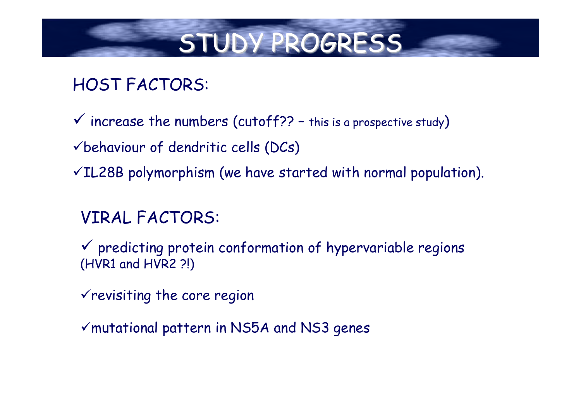## STUDY PROGRESS

## HOST FACTORS:

- $\checkmark$  increase the numbers (cutoff?? this is a prospective study)
- $\checkmark$  behaviour of dendritic cells (DCs)
- $VIL28B$  polymorphism (we have started with normal population).

### VIRAL FACTORS:

- $\checkmark$  predicting protein conformation of hypervariable regions (HVR1 and HVR2 ?!)
- $\checkmark$  revisiting the core region
- $\checkmark$  mutational pattern in NS5A and NS3 genes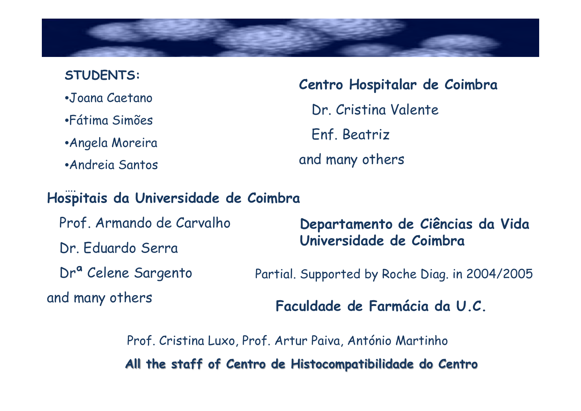**STUDENTS:** •Joana Caetano •Fátima Simões •Angela Moreira •Andreia Santos

**Centro Hospitalar de Coimbra** Dr. Cristina Valente Enf. Beatriz and many others

#### …. **Hospitais da Universidade de Coimbra**

Prof. Armando de Carvalho Dr. Eduardo Serra Drª Celene Sargento and many others

**Departamento de Ciências da Vida Universidade de Coimbra**

Partial. Supported by Roche Diag. in 2004/2005

**Faculdade de Farmácia da U.C.** 

Prof. Cristina Luxo, Prof. Artur Paiva, António Martinho **All the staff of Centro de Histocompatibilidade do Centro**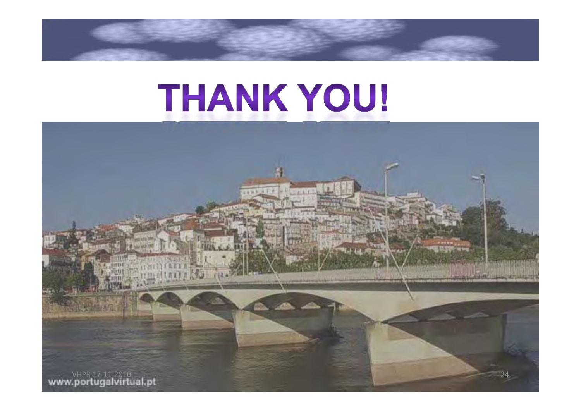# THANK YOU!

VHPB 17‐11‐2010 <sup>-</sup> 1940 - 1940 - 1940 - 1940 - 1940 - 1940 - 1940 - 1940 - 1940 - 1940 - 1940 - 1940 - 1940 - 1940 - 1940 - 1940 - 1940 - 1940 - 1940 - 1940 - 1940 - 1940 - 1940 - 1940 - 1940 - 1940 - 1940 - 1940 - 1940